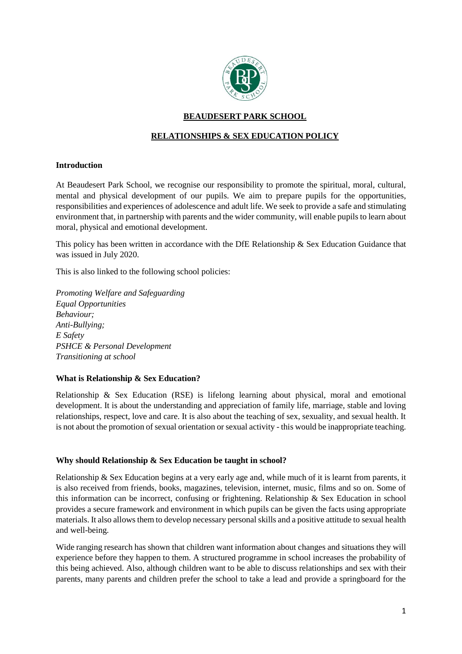

# **BEAUDESERT PARK SCHOOL**

# **RELATIONSHIPS & SEX EDUCATION POLICY**

# **Introduction**

At Beaudesert Park School, we recognise our responsibility to promote the spiritual, moral, cultural, mental and physical development of our pupils. We aim to prepare pupils for the opportunities, responsibilities and experiences of adolescence and adult life. We seek to provide a safe and stimulating environment that, in partnership with parents and the wider community, will enable pupils to learn about moral, physical and emotional development.

This policy has been written in accordance with the DfE Relationship & Sex Education Guidance that was issued in July 2020.

This is also linked to the following school policies:

*Promoting Welfare and Safeguarding Equal Opportunities Behaviour; Anti-Bullying; E Safety PSHCE & Personal Development Transitioning at school*

#### **What is Relationship & Sex Education?**

Relationship & Sex Education (RSE) is lifelong learning about physical, moral and emotional development. It is about the understanding and appreciation of family life, marriage, stable and loving relationships, respect, love and care. It is also about the teaching of sex, sexuality, and sexual health. It is not about the promotion of sexual orientation or sexual activity - this would be inappropriate teaching.

#### **Why should Relationship & Sex Education be taught in school?**

Relationship & Sex Education begins at a very early age and, while much of it is learnt from parents, it is also received from friends, books, magazines, television, internet, music, films and so on. Some of this information can be incorrect, confusing or frightening. Relationship & Sex Education in school provides a secure framework and environment in which pupils can be given the facts using appropriate materials. It also allows them to develop necessary personal skills and a positive attitude to sexual health and well-being.

Wide ranging research has shown that children want information about changes and situations they will experience before they happen to them. A structured programme in school increases the probability of this being achieved. Also, although children want to be able to discuss relationships and sex with their parents, many parents and children prefer the school to take a lead and provide a springboard for the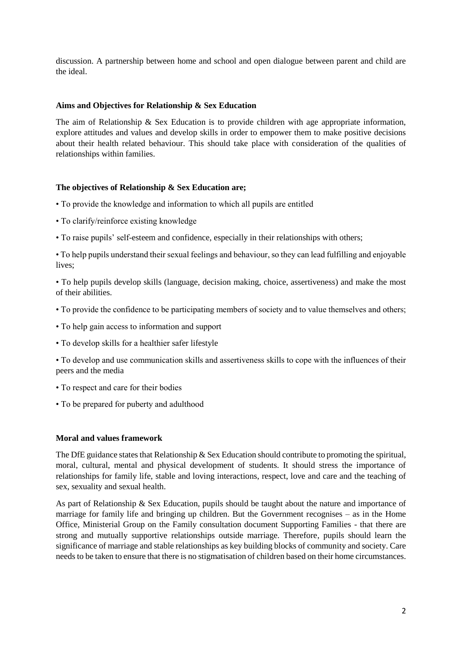discussion. A partnership between home and school and open dialogue between parent and child are the ideal.

#### **Aims and Objectives for Relationship & Sex Education**

The aim of Relationship & Sex Education is to provide children with age appropriate information, explore attitudes and values and develop skills in order to empower them to make positive decisions about their health related behaviour. This should take place with consideration of the qualities of relationships within families.

# **The objectives of Relationship & Sex Education are;**

- To provide the knowledge and information to which all pupils are entitled
- To clarify/reinforce existing knowledge
- To raise pupils' self-esteem and confidence, especially in their relationships with others;

• To help pupils understand their sexual feelings and behaviour, so they can lead fulfilling and enjoyable lives;

• To help pupils develop skills (language, decision making, choice, assertiveness) and make the most of their abilities.

- To provide the confidence to be participating members of society and to value themselves and others;
- To help gain access to information and support
- To develop skills for a healthier safer lifestyle

• To develop and use communication skills and assertiveness skills to cope with the influences of their peers and the media

- To respect and care for their bodies
- To be prepared for puberty and adulthood

# **Moral and values framework**

The DfE guidance states that Relationship & Sex Education should contribute to promoting the spiritual, moral, cultural, mental and physical development of students. It should stress the importance of relationships for family life, stable and loving interactions, respect, love and care and the teaching of sex, sexuality and sexual health.

As part of Relationship & Sex Education, pupils should be taught about the nature and importance of marriage for family life and bringing up children. But the Government recognises – as in the Home Office, Ministerial Group on the Family consultation document Supporting Families - that there are strong and mutually supportive relationships outside marriage. Therefore, pupils should learn the significance of marriage and stable relationships as key building blocks of community and society. Care needs to be taken to ensure that there is no stigmatisation of children based on their home circumstances.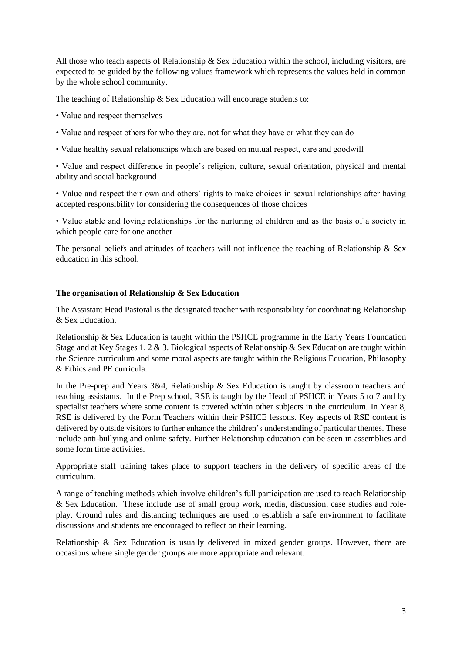All those who teach aspects of Relationship & Sex Education within the school, including visitors, are expected to be guided by the following values framework which represents the values held in common by the whole school community.

The teaching of Relationship & Sex Education will encourage students to:

• Value and respect themselves

- Value and respect others for who they are, not for what they have or what they can do
- Value healthy sexual relationships which are based on mutual respect, care and goodwill

• Value and respect difference in people's religion, culture, sexual orientation, physical and mental ability and social background

• Value and respect their own and others' rights to make choices in sexual relationships after having accepted responsibility for considering the consequences of those choices

• Value stable and loving relationships for the nurturing of children and as the basis of a society in which people care for one another

The personal beliefs and attitudes of teachers will not influence the teaching of Relationship  $\&$  Sex education in this school.

# **The organisation of Relationship & Sex Education**

The Assistant Head Pastoral is the designated teacher with responsibility for coordinating Relationship & Sex Education.

Relationship & Sex Education is taught within the PSHCE programme in the Early Years Foundation Stage and at Key Stages 1, 2 & 3. Biological aspects of Relationship & Sex Education are taught within the Science curriculum and some moral aspects are taught within the Religious Education, Philosophy & Ethics and PE curricula.

In the Pre-prep and Years 3&4, Relationship & Sex Education is taught by classroom teachers and teaching assistants. In the Prep school, RSE is taught by the Head of PSHCE in Years 5 to 7 and by specialist teachers where some content is covered within other subjects in the curriculum. In Year 8, RSE is delivered by the Form Teachers within their PSHCE lessons. Key aspects of RSE content is delivered by outside visitors to further enhance the children's understanding of particular themes. These include anti-bullying and online safety. Further Relationship education can be seen in assemblies and some form time activities.

Appropriate staff training takes place to support teachers in the delivery of specific areas of the curriculum.

A range of teaching methods which involve children's full participation are used to teach Relationship & Sex Education. These include use of small group work, media, discussion, case studies and roleplay. Ground rules and distancing techniques are used to establish a safe environment to facilitate discussions and students are encouraged to reflect on their learning.

Relationship & Sex Education is usually delivered in mixed gender groups. However, there are occasions where single gender groups are more appropriate and relevant.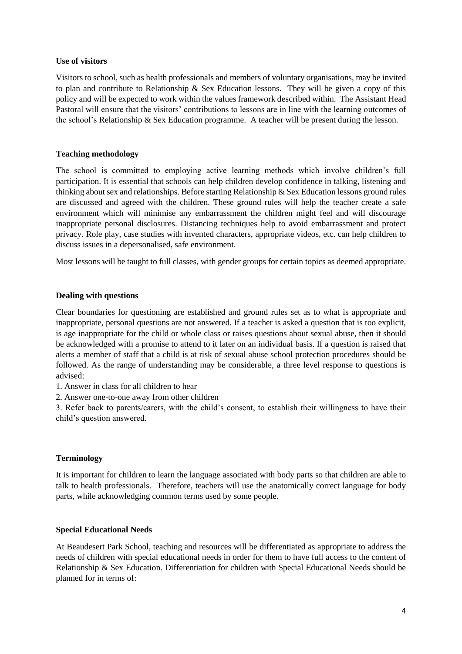#### **Use of visitors**

Visitors to school, such as health professionals and members of voluntary organisations, may be invited to plan and contribute to Relationship & Sex Education lessons. They will be given a copy of this policy and will be expected to work within the values framework described within. The Assistant Head Pastoral will ensure that the visitors' contributions to lessons are in line with the learning outcomes of the school's Relationship & Sex Education programme. A teacher will be present during the lesson.

#### **Teaching methodology**

The school is committed to employing active learning methods which involve children's full participation. It is essential that schools can help children develop confidence in talking, listening and thinking about sex and relationships. Before starting Relationship & Sex Education lessons ground rules are discussed and agreed with the children. These ground rules will help the teacher create a safe environment which will minimise any embarrassment the children might feel and will discourage inappropriate personal disclosures. Distancing techniques help to avoid embarrassment and protect privacy. Role play, case studies with invented characters, appropriate videos, etc. can help children to discuss issues in a depersonalised, safe environment.

Most lessons will be taught to full classes, with gender groups for certain topics as deemed appropriate.

# **Dealing with questions**

Clear boundaries for questioning are established and ground rules set as to what is appropriate and inappropriate, personal questions are not answered. If a teacher is asked a question that is too explicit, is age inappropriate for the child or whole class or raises questions about sexual abuse, then it should be acknowledged with a promise to attend to it later on an individual basis. If a question is raised that alerts a member of staff that a child is at risk of sexual abuse school protection procedures should be followed. As the range of understanding may be considerable, a three level response to questions is advised:

1. Answer in class for all children to hear

2. Answer one-to-one away from other children

3. Refer back to parents/carers, with the child's consent, to establish their willingness to have their child's question answered.

#### **Terminology**

It is important for children to learn the language associated with body parts so that children are able to talk to health professionals. Therefore, teachers will use the anatomically correct language for body parts, while acknowledging common terms used by some people.

#### **Special Educational Needs**

At Beaudesert Park School, teaching and resources will be differentiated as appropriate to address the needs of children with special educational needs in order for them to have full access to the content of Relationship & Sex Education. Differentiation for children with Special Educational Needs should be planned for in terms of: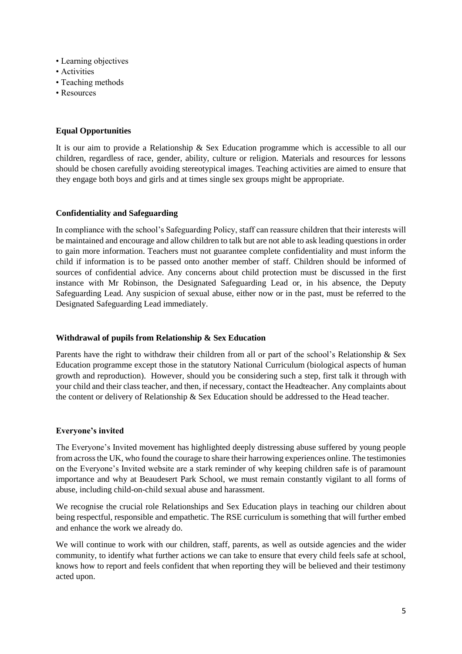- Learning objectives
- Activities
- Teaching methods
- Resources

# **Equal Opportunities**

It is our aim to provide a Relationship & Sex Education programme which is accessible to all our children, regardless of race, gender, ability, culture or religion. Materials and resources for lessons should be chosen carefully avoiding stereotypical images. Teaching activities are aimed to ensure that they engage both boys and girls and at times single sex groups might be appropriate.

# **Confidentiality and Safeguarding**

In compliance with the school's Safeguarding Policy, staff can reassure children that their interests will be maintained and encourage and allow children to talk but are not able to ask leading questions in order to gain more information. Teachers must not guarantee complete confidentiality and must inform the child if information is to be passed onto another member of staff. Children should be informed of sources of confidential advice. Any concerns about child protection must be discussed in the first instance with Mr Robinson, the Designated Safeguarding Lead or, in his absence, the Deputy Safeguarding Lead. Any suspicion of sexual abuse, either now or in the past, must be referred to the Designated Safeguarding Lead immediately.

#### **Withdrawal of pupils from Relationship & Sex Education**

Parents have the right to withdraw their children from all or part of the school's Relationship & Sex Education programme except those in the statutory National Curriculum (biological aspects of human growth and reproduction). However, should you be considering such a step, first talk it through with your child and their class teacher, and then, if necessary, contact the Headteacher. Any complaints about the content or delivery of Relationship & Sex Education should be addressed to the Head teacher.

#### **Everyone's invited**

The Everyone's Invited movement has highlighted deeply distressing abuse suffered by young people from across the UK, who found the courage to share their harrowing experiences online. The testimonies on the Everyone's Invited website are a stark reminder of why keeping children safe is of paramount importance and why at Beaudesert Park School, we must remain constantly vigilant to all forms of abuse, including child-on-child sexual abuse and harassment.

We recognise the crucial role Relationships and Sex Education plays in teaching our children about being respectful, responsible and empathetic. The RSE curriculum is something that will further embed and enhance the work we already do.

We will continue to work with our children, staff, parents, as well as outside agencies and the wider community, to identify what further actions we can take to ensure that every child feels safe at school, knows how to report and feels confident that when reporting they will be believed and their testimony acted upon.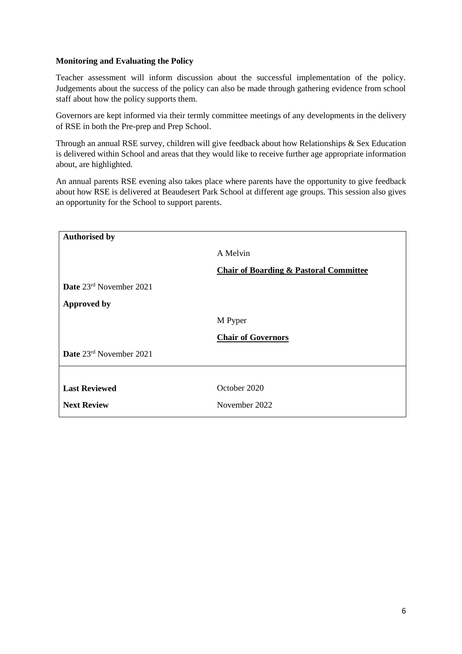# **Monitoring and Evaluating the Policy**

Teacher assessment will inform discussion about the successful implementation of the policy. Judgements about the success of the policy can also be made through gathering evidence from school staff about how the policy supports them.

Governors are kept informed via their termly committee meetings of any developments in the delivery of RSE in both the Pre-prep and Prep School.

Through an annual RSE survey, children will give feedback about how Relationships & Sex Education is delivered within School and areas that they would like to receive further age appropriate information about, are highlighted.

An annual parents RSE evening also takes place where parents have the opportunity to give feedback about how RSE is delivered at Beaudesert Park School at different age groups. This session also gives an opportunity for the School to support parents.

| <b>Authorised by</b>    |                                                   |
|-------------------------|---------------------------------------------------|
|                         | A Melvin                                          |
|                         | <b>Chair of Boarding &amp; Pastoral Committee</b> |
| Date 23rd November 2021 |                                                   |
| <b>Approved by</b>      |                                                   |
|                         | M Pyper                                           |
|                         | <b>Chair of Governors</b>                         |
| Date 23rd November 2021 |                                                   |
|                         |                                                   |
| <b>Last Reviewed</b>    | October 2020                                      |
| <b>Next Review</b>      | November 2022                                     |
|                         |                                                   |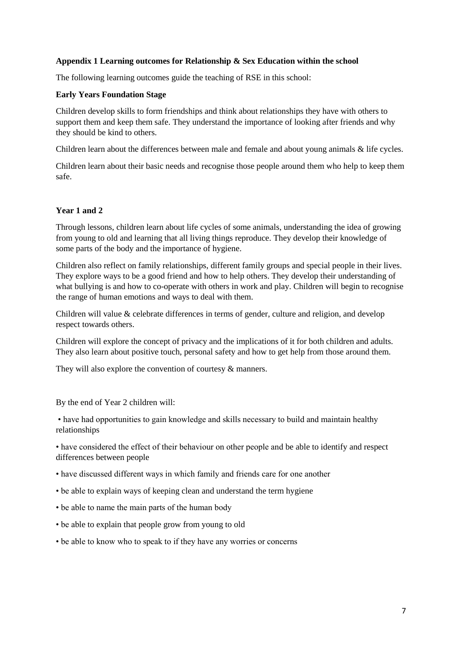# **Appendix 1 Learning outcomes for Relationship & Sex Education within the school**

The following learning outcomes guide the teaching of RSE in this school:

#### **Early Years Foundation Stage**

Children develop skills to form friendships and think about relationships they have with others to support them and keep them safe. They understand the importance of looking after friends and why they should be kind to others.

Children learn about the differences between male and female and about young animals & life cycles.

Children learn about their basic needs and recognise those people around them who help to keep them safe.

# **Year 1 and 2**

Through lessons, children learn about life cycles of some animals, understanding the idea of growing from young to old and learning that all living things reproduce. They develop their knowledge of some parts of the body and the importance of hygiene.

Children also reflect on family relationships, different family groups and special people in their lives. They explore ways to be a good friend and how to help others. They develop their understanding of what bullying is and how to co-operate with others in work and play. Children will begin to recognise the range of human emotions and ways to deal with them.

Children will value & celebrate differences in terms of gender, culture and religion, and develop respect towards others.

Children will explore the concept of privacy and the implications of it for both children and adults. They also learn about positive touch, personal safety and how to get help from those around them.

They will also explore the convention of courtesy & manners.

By the end of Year 2 children will:

• have had opportunities to gain knowledge and skills necessary to build and maintain healthy relationships

• have considered the effect of their behaviour on other people and be able to identify and respect differences between people

- have discussed different ways in which family and friends care for one another
- be able to explain ways of keeping clean and understand the term hygiene
- be able to name the main parts of the human body
- be able to explain that people grow from young to old
- be able to know who to speak to if they have any worries or concerns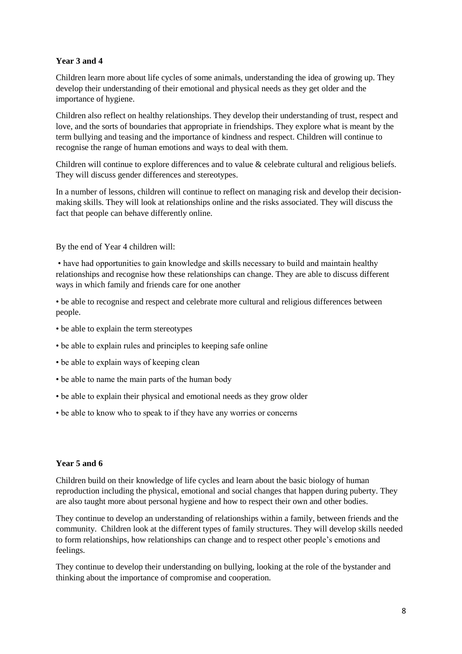# **Year 3 and 4**

Children learn more about life cycles of some animals, understanding the idea of growing up. They develop their understanding of their emotional and physical needs as they get older and the importance of hygiene.

Children also reflect on healthy relationships. They develop their understanding of trust, respect and love, and the sorts of boundaries that appropriate in friendships. They explore what is meant by the term bullying and teasing and the importance of kindness and respect. Children will continue to recognise the range of human emotions and ways to deal with them.

Children will continue to explore differences and to value & celebrate cultural and religious beliefs. They will discuss gender differences and stereotypes.

In a number of lessons, children will continue to reflect on managing risk and develop their decisionmaking skills. They will look at relationships online and the risks associated. They will discuss the fact that people can behave differently online.

By the end of Year 4 children will:

• have had opportunities to gain knowledge and skills necessary to build and maintain healthy relationships and recognise how these relationships can change. They are able to discuss different ways in which family and friends care for one another

• be able to recognise and respect and celebrate more cultural and religious differences between people.

- be able to explain the term stereotypes
- be able to explain rules and principles to keeping safe online
- be able to explain ways of keeping clean
- be able to name the main parts of the human body
- be able to explain their physical and emotional needs as they grow older
- be able to know who to speak to if they have any worries or concerns

# **Year 5 and 6**

Children build on their knowledge of life cycles and learn about the basic biology of human reproduction including the physical, emotional and social changes that happen during puberty. They are also taught more about personal hygiene and how to respect their own and other bodies.

They continue to develop an understanding of relationships within a family, between friends and the community. Children look at the different types of family structures. They will develop skills needed to form relationships, how relationships can change and to respect other people's emotions and feelings.

They continue to develop their understanding on bullying, looking at the role of the bystander and thinking about the importance of compromise and cooperation.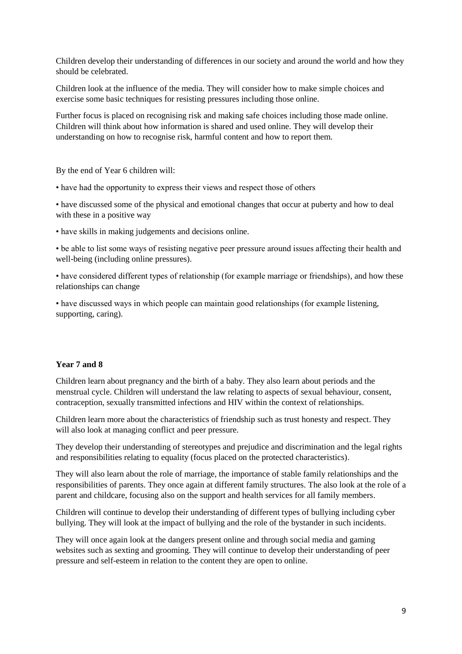Children develop their understanding of differences in our society and around the world and how they should be celebrated.

Children look at the influence of the media. They will consider how to make simple choices and exercise some basic techniques for resisting pressures including those online.

Further focus is placed on recognising risk and making safe choices including those made online. Children will think about how information is shared and used online. They will develop their understanding on how to recognise risk, harmful content and how to report them.

By the end of Year 6 children will:

• have had the opportunity to express their views and respect those of others

• have discussed some of the physical and emotional changes that occur at puberty and how to deal with these in a positive way

• have skills in making judgements and decisions online.

• be able to list some ways of resisting negative peer pressure around issues affecting their health and well-being (including online pressures).

• have considered different types of relationship (for example marriage or friendships), and how these relationships can change

• have discussed ways in which people can maintain good relationships (for example listening, supporting, caring).

#### **Year 7 and 8**

Children learn about pregnancy and the birth of a baby. They also learn about periods and the menstrual cycle. Children will understand the law relating to aspects of sexual behaviour, consent, contraception, sexually transmitted infections and HIV within the context of relationships.

Children learn more about the characteristics of friendship such as trust honesty and respect. They will also look at managing conflict and peer pressure.

They develop their understanding of stereotypes and prejudice and discrimination and the legal rights and responsibilities relating to equality (focus placed on the protected characteristics).

They will also learn about the role of marriage, the importance of stable family relationships and the responsibilities of parents. They once again at different family structures. The also look at the role of a parent and childcare, focusing also on the support and health services for all family members.

Children will continue to develop their understanding of different types of bullying including cyber bullying. They will look at the impact of bullying and the role of the bystander in such incidents.

They will once again look at the dangers present online and through social media and gaming websites such as sexting and grooming. They will continue to develop their understanding of peer pressure and self-esteem in relation to the content they are open to online.